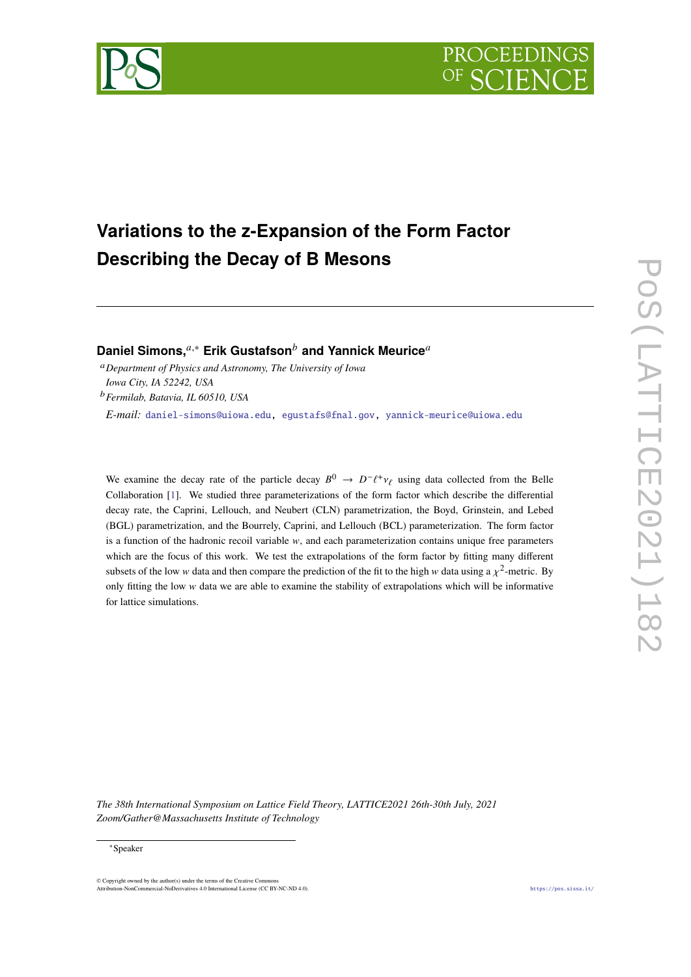



# **Variations to the z-Expansion of the Form Factor Describing the Decay of B Mesons**

**Daniel Simons,**<sup>*a*,∗</sup> **Erik Gustafson<sup>***b***</sup> and Yannick Meurice<sup>***a***</sup>** 

<sup>𝑎</sup>*Department of Physics and Astronomy, The University of Iowa Iowa City, IA 52242, USA* <sup>𝑏</sup>*Fermilab, Batavia, IL 60510, USA*

*E-mail:* [daniel-simons@uiowa.edu,](mailto:daniel-simons@uiowa.edu) [egustafs@fnal.gov,](mailto:egustafs@fnal.gov) [yannick-meurice@uiowa.edu](mailto:yannick-meurice@uiowa.edu)

We examine the decay rate of the particle decay  $B^0 \to D^- \ell^+ \nu_\ell$  using data collected from the Belle Collaboration [\[1\]](#page-6-0). We studied three parameterizations of the form factor which describe the differential decay rate, the Caprini, Lellouch, and Neubert (CLN) parametrization, the Boyd, Grinstein, and Lebed (BGL) parametrization, and the Bourrely, Caprini, and Lellouch (BCL) parameterization. The form factor is a function of the hadronic recoil variable  $w$ , and each parameterization contains unique free parameters which are the focus of this work. We test the extrapolations of the form factor by fitting many different subsets of the low w data and then compare the prediction of the fit to the high w data using a  $\chi^2$ -metric. By only fitting the low  $w$  data we are able to examine the stability of extrapolations which will be informative for lattice simulations.

*The 38th International Symposium on Lattice Field Theory, LATTICE2021 26th-30th July, 2021 Zoom/Gather@Massachusetts Institute of Technology*

© Copyright owned by the author(s) under the terms of the Creative Comm Attribution-NonCommercial-NoDerivatives 4.0 International License (CC BY-NC-ND 4.0). <https://pos.sissa.it/>

<sup>∗</sup>Speaker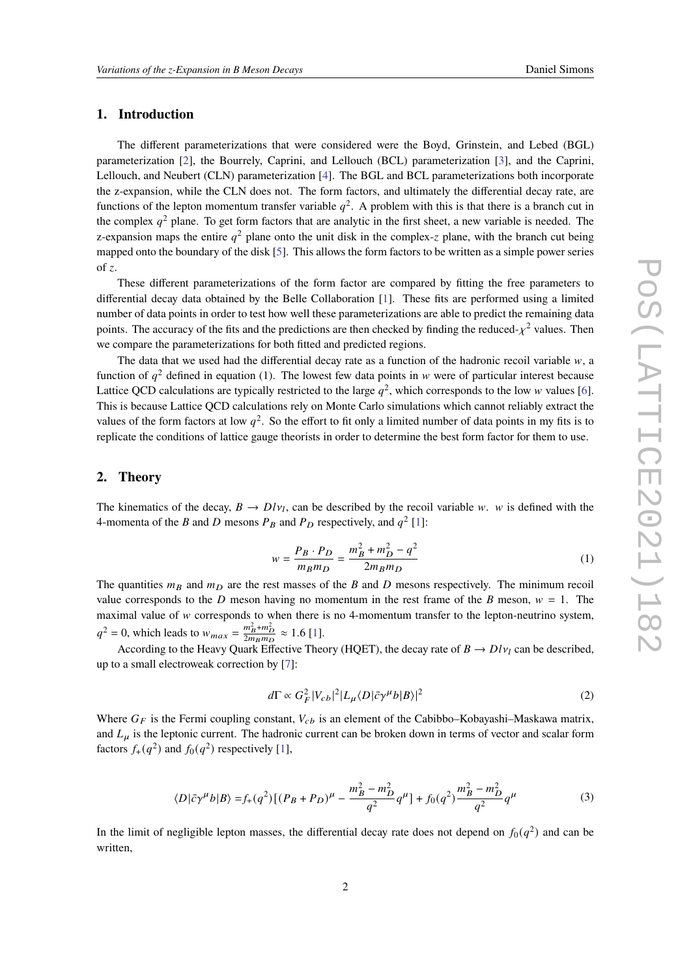# **1. Introduction**

The different parameterizations that were considered were the Boyd, Grinstein, and Lebed (BGL) parameterization [\[2\]](#page-6-1), the Bourrely, Caprini, and Lellouch (BCL) parameterization [\[3\]](#page-7-0), and the Caprini, Lellouch, and Neubert (CLN) parameterization [\[4\]](#page-7-1). The BGL and BCL parameterizations both incorporate the z-expansion, while the CLN does not. The form factors, and ultimately the differential decay rate, are functions of the lepton momentum transfer variable  $q^2$ . A problem with this is that there is a branch cut in the complex  $q^2$  plane. To get form factors that are analytic in the first sheet, a new variable is needed. The z-expansion maps the entire  $q^2$  plane onto the unit disk in the complex-z plane, with the branch cut being mapped onto the boundary of the disk [\[5\]](#page-7-2). This allows the form factors to be written as a simple power series of z.

These different parameterizations of the form factor are compared by fitting the free parameters to differential decay data obtained by the Belle Collaboration [\[1\]](#page-6-0). These fits are performed using a limited number of data points in order to test how well these parameterizations are able to predict the remaining data points. The accuracy of the fits and the predictions are then checked by finding the reduced- $\chi^2$  values. Then we compare the parameterizations for both fitted and predicted regions.

The data that we used had the differential decay rate as a function of the hadronic recoil variable  $w$ , a function of  $q^2$  defined in equation (1). The lowest few data points in w were of particular interest because Lattice QCD calculations are typically restricted to the large  $q^2$ , which corresponds to the low w values [\[6\]](#page-7-3). This is because Lattice QCD calculations rely on Monte Carlo simulations which cannot reliably extract the values of the form factors at low  $q^2$ . So the effort to fit only a limited number of data points in my fits is to replicate the conditions of lattice gauge theorists in order to determine the best form factor for them to use.

#### **2. Theory**

The kinematics of the decay,  $B \to D l v_l$ , can be described by the recoil variable w. w is defined with the 4-momenta of the B and D mesons  $P_B$  and  $P_D$  respectively, and  $q^2$  [\[1\]](#page-6-0):

$$
w = \frac{P_B \cdot P_D}{m_B m_D} = \frac{m_B^2 + m_D^2 - q^2}{2m_B m_D} \tag{1}
$$

The quantities  $m_B$  and  $m_D$  are the rest masses of the B and D mesons respectively. The minimum recoil value corresponds to the D meson having no momentum in the rest frame of the B meson,  $w = 1$ . The maximal value of  $w$  corresponds to when there is no 4-momentum transfer to the lepton-neutrino system,  $q^2 = 0$ , which leads to  $w_{max} = \frac{m_B^2 + m_D^2}{2m_B m_D} \approx 1.6$  [\[1\]](#page-6-0).

According to the Heavy Quark Effective Theory (HQET), the decay rate of  $B \to D l v_l$  can be described, up to a small electroweak correction by [\[7\]](#page-7-4):

$$
d\Gamma \propto G_F^2 |V_{cb}|^2 |L_{\mu} \langle D|\bar{c}\gamma^{\mu}b|B\rangle|^2
$$
 (2)

Where  $G_F$  is the Fermi coupling constant,  $V_{cb}$  is an element of the Cabibbo–Kobayashi–Maskawa matrix, and  $L<sub>u</sub>$  is the leptonic current. The hadronic current can be broken down in terms of vector and scalar form factors  $f_+(q^2)$  and  $f_0(q^2)$  respectively [\[1\]](#page-6-0),

$$
\langle D|\bar{c}\gamma^{\mu}b|B\rangle = f_{+}(q^{2})\left[ (P_{B} + P_{D})^{\mu} - \frac{m_{B}^{2} - m_{D}^{2}}{q^{2}}q^{\mu} \right] + f_{0}(q^{2})\frac{m_{B}^{2} - m_{D}^{2}}{q^{2}}q^{\mu}
$$
(3)

In the limit of negligible lepton masses, the differential decay rate does not depend on  $f_0(q^2)$  and can be written,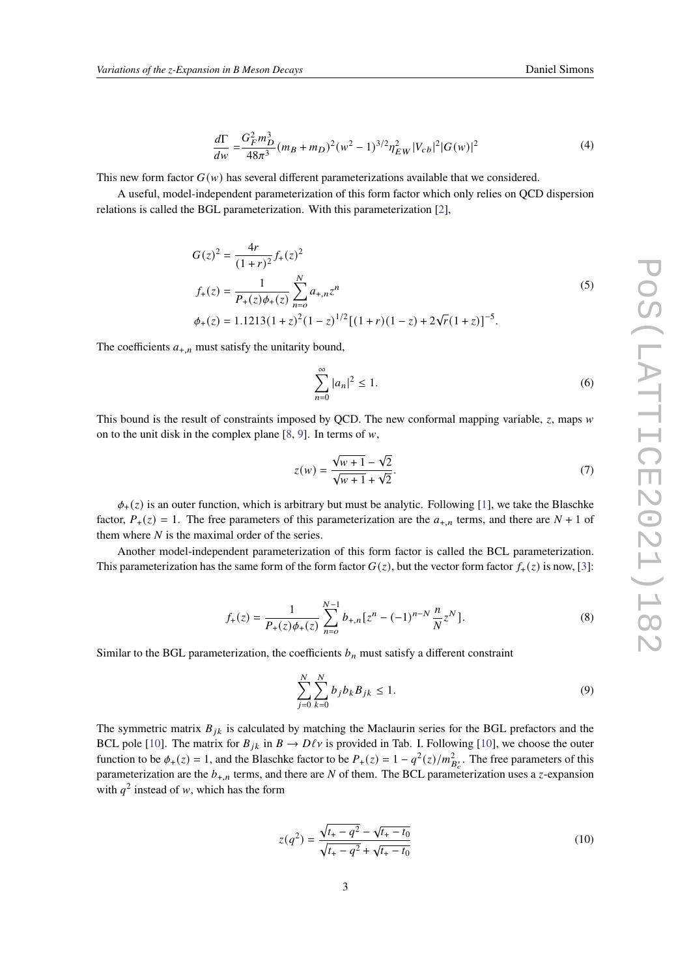$$
\frac{d\Gamma}{dw} = \frac{G_F^2 m_D^3}{48\pi^3} (m_B + m_D)^2 (w^2 - 1)^{3/2} \eta_{EW}^2 |V_{cb}|^2 |G(w)|^2
$$
\n(4)

This new form factor  $G(w)$  has several different parameterizations available that we considered.

A useful, model-independent parameterization of this form factor which only relies on QCD dispersion relations is called the BGL parameterization. With this parameterization [\[2\]](#page-6-1),

$$
G(z)^{2} = \frac{4r}{(1+r)^{2}} f_{+}(z)^{2}
$$
  
\n
$$
f_{+}(z) = \frac{1}{P_{+}(z)\phi_{+}(z)} \sum_{n=0}^{N} a_{+,n} z^{n}
$$
  
\n
$$
\phi_{+}(z) = 1.1213(1+z)^{2}(1-z)^{1/2}[(1+r)(1-z) + 2\sqrt{r}(1+z)]^{-5}.
$$
\n(5)

The coefficients  $a_{+,n}$  must satisfy the unitarity bound,

$$
\sum_{n=0}^{\infty} |a_n|^2 \le 1.
$$
 (6)

This bound is the result of constraints imposed by QCD. The new conformal mapping variable,  $z$ , maps  $w$ on to the unit disk in the complex plane [\[8,](#page-7-5) [9\]](#page-7-6). In terms of  $w$ ,

$$
z(w) = \frac{\sqrt{w+1} - \sqrt{2}}{\sqrt{w+1} + \sqrt{2}}.
$$
 (7)

 $\phi_+(\zeta)$  is an outer function, which is arbitrary but must be analytic. Following [\[1\]](#page-6-0), we take the Blaschke factor,  $P_+(z) = 1$ . The free parameters of this parameterization are the  $a_{+,n}$  terms, and there are  $N + 1$  of them where  $N$  is the maximal order of the series.

Another model-independent parameterization of this form factor is called the BCL parameterization. This parameterization has the same form of the form factor  $G(z)$ , but the vector form factor  $f_{+}(z)$  is now, [\[3\]](#page-7-0):

$$
f_{+}(z) = \frac{1}{P_{+}(z)\phi_{+}(z)} \sum_{n=0}^{N-1} b_{+,n} [z^{n} - (-1)^{n-N} \frac{n}{N} z^{N}].
$$
 (8)

Similar to the BGL parameterization, the coefficients  $b_n$  must satisfy a different constraint

$$
\sum_{j=0}^{N} \sum_{k=0}^{N} b_j b_k B_{jk} \le 1.
$$
\n(9)

The symmetric matrix  $B_{jk}$  is calculated by matching the Maclaurin series for the BGL prefactors and the BCL pole [\[10\]](#page-7-7). The matrix for  $B_{ik}$  in  $B \to D\ell \nu$  is provided in Tab. I. Following [10], we choose the outer function to be  $\phi_+(z) = 1$ , and the Blaschke factor to be  $P_+(z) = 1 - q^2(z)/m_{B_c^*}^2$ . The free parameters of this parameterization are the  $b_{+,n}$  terms, and there are N of them. The BCL parameterization uses a *z*-expansion with  $q^2$  instead of w, which has the form

$$
z(q^2) = \frac{\sqrt{t_+ - q^2} - \sqrt{t_+ - t_0}}{\sqrt{t_+ - q^2} + \sqrt{t_+ - t_0}}
$$
(10)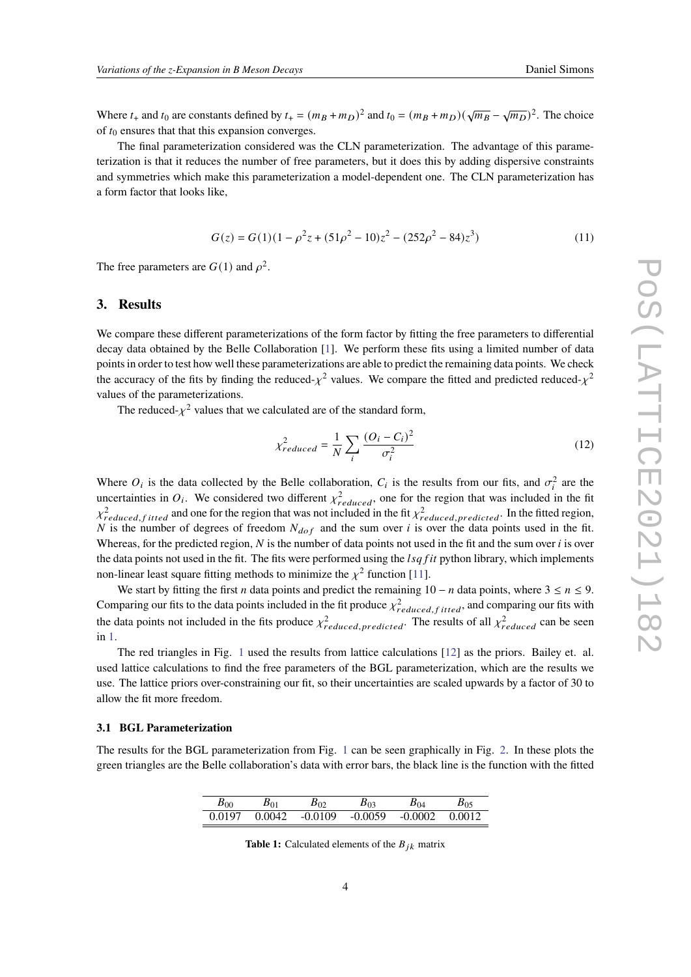Where  $t_+$  and  $t_0$  are constants defined by  $t_+ = (m_B + m_D)^2$  and  $t_0 = (m_B + m_D)(\sqrt{m_B} - \sqrt{m_D})^2$ . The choice of  $t_0$  ensures that that this expansion converges.

The final parameterization considered was the CLN parameterization. The advantage of this parameterization is that it reduces the number of free parameters, but it does this by adding dispersive constraints and symmetries which make this parameterization a model-dependent one. The CLN parameterization has a form factor that looks like,

$$
G(z) = G(1)(1 - \rho^2 z + (51\rho^2 - 10)z^2 - (252\rho^2 - 84)z^3)
$$
\n(11)

The free parameters are  $G(1)$  and  $\rho^2$ .

## **3. Results**

We compare these different parameterizations of the form factor by fitting the free parameters to differential decay data obtained by the Belle Collaboration [\[1\]](#page-6-0). We perform these fits using a limited number of data points in order to test how well these parameterizations are able to predict the remaining data points. We check the accuracy of the fits by finding the reduced- $\chi^2$  values. We compare the fitted and predicted reduced- $\chi^2$ values of the parameterizations.

The reduced- $\chi^2$  values that we calculated are of the standard form,

$$
\chi_{reduced}^2 = \frac{1}{N} \sum_{i} \frac{(O_i - C_i)^2}{\sigma_i^2}
$$
\n(12)

Where  $O_i$  is the data collected by the Belle collaboration,  $C_i$  is the results from our fits, and  $\sigma_i^2$  are the uncertainties in  $O_i$ . We considered two different  $\chi^2_{reduced}$ , one for the region that was included in the fit  $\chi^2_{reduced, fitted}$  and one for the region that was not included in the fit  $\chi^2_{reduced, predicted}$ . In the fitted region, N is the number of degrees of freedom  $N_{dof}$  and the sum over i is over the data points used in the fit. Whereas, for the predicted region,  $N$  is the number of data points not used in the fit and the sum over  $i$  is over the data points not used in the fit. The fits were performed using the  $lsqfit$  python library, which implements non-linear least square fitting methods to minimize the  $\chi^2$  function [\[11\]](#page-7-8).

We start by fitting the first *n* data points and predict the remaining 10 − *n* data points, where  $3 \le n \le 9$ . Comparing our fits to the data points included in the fit produce  $\chi^2_{reduced, fitted}$ , and comparing our fits with the data points not included in the fits produce  $\chi^2_{reduced, predicted}$ . The results of all  $\chi^2_{reduced}$  can be seen in [1.](#page-4-0)

The red triangles in Fig. [1](#page-4-0) used the results from lattice calculations [\[12\]](#page-7-9) as the priors. Bailey et. al. used lattice calculations to find the free parameters of the BGL parameterization, which are the results we use. The lattice priors over-constraining our fit, so their uncertainties are scaled upwards by a factor of 30 to allow the fit more freedom.

#### **3.1 BGL Parameterization**

The results for the BGL parameterization from Fig. [1](#page-4-0) can be seen graphically in Fig. [2.](#page-4-1) In these plots the green triangles are the Belle collaboration's data with error bars, the black line is the function with the fitted

| $B_{00}$ | $B_{01}$ | B02       | 503       | $B_{04}$ |        |
|----------|----------|-----------|-----------|----------|--------|
| 0.0197   | 0.0042   | $-0.0109$ | $-0.0059$ | -0.0002  | 0.0012 |

**Table 1:** Calculated elements of the  $B_{jk}$  matrix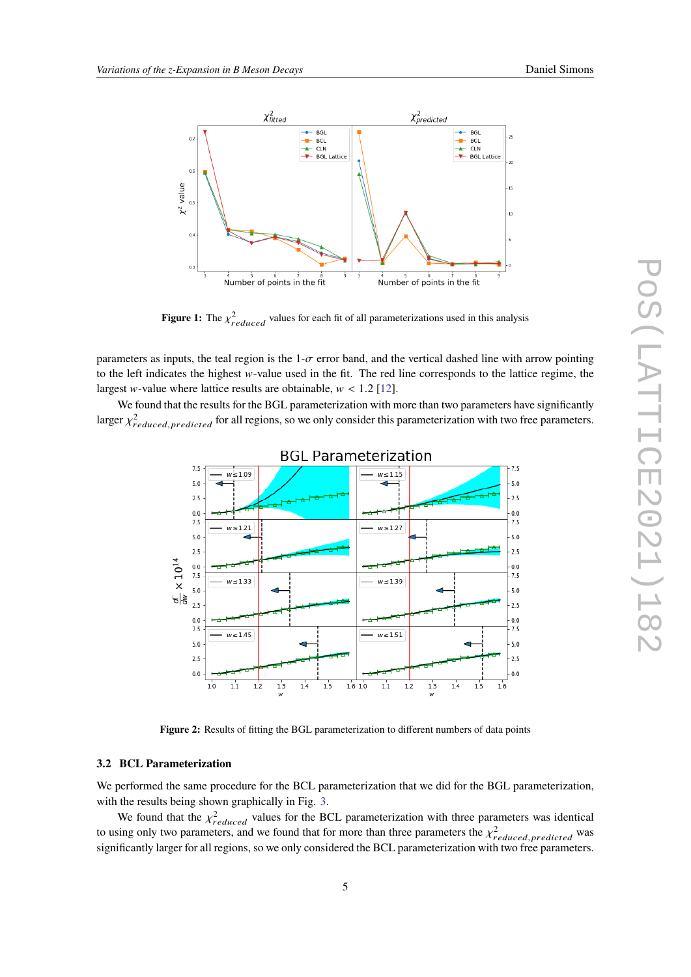

<span id="page-4-0"></span>

**Figure 1:** The  $\chi^2_{reduced}$  values for each fit of all parameterizations used in this analysis

parameters as inputs, the teal region is the  $1-\sigma$  error band, and the vertical dashed line with arrow pointing to the left indicates the highest  $w$ -value used in the fit. The red line corresponds to the lattice regime, the largest *w*-value where lattice results are obtainable,  $w < 1.2$  [\[12\]](#page-7-9).

<span id="page-4-1"></span>We found that the results for the BGL parameterization with more than two parameters have significantly larger  $\chi^2_{reduced, predicted}$  for all regions, so we only consider this parameterization with two free parameters.



**Figure 2:** Results of fitting the BGL parameterization to different numbers of data points

#### **3.2 BCL Parameterization**

We performed the same procedure for the BCL parameterization that we did for the BGL parameterization, with the results being shown graphically in Fig. [3.](#page-5-0)

We found that the  $\chi^2_{reduced}$  values for the BCL parameterization with three parameters was identical to using only two parameters, and we found that for more than three parameters the  $\chi^2_{reduced, predicted}$  was significantly larger for all regions, so we only considered the BCL parameterization with two free parameters.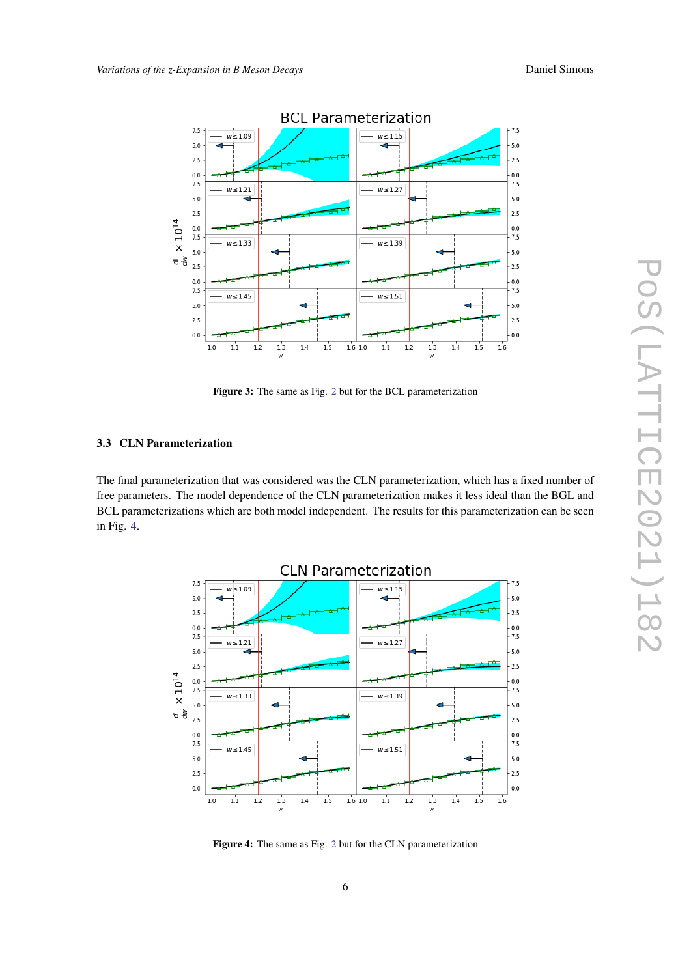<span id="page-5-0"></span>

**Figure 3:** The same as Fig. [2](#page-4-1) but for the BCL parameterization

## **3.3 CLN Parameterization**

The final parameterization that was considered was the CLN parameterization, which has a fixed number of free parameters. The model dependence of the CLN parameterization makes it less ideal than the BGL and BCL parameterizations which are both model independent. The results for this parameterization can be seen in Fig. [4.](#page-5-1)

<span id="page-5-1"></span>

**Figure 4:** The same as Fig. [2](#page-4-1) but for the CLN parameterization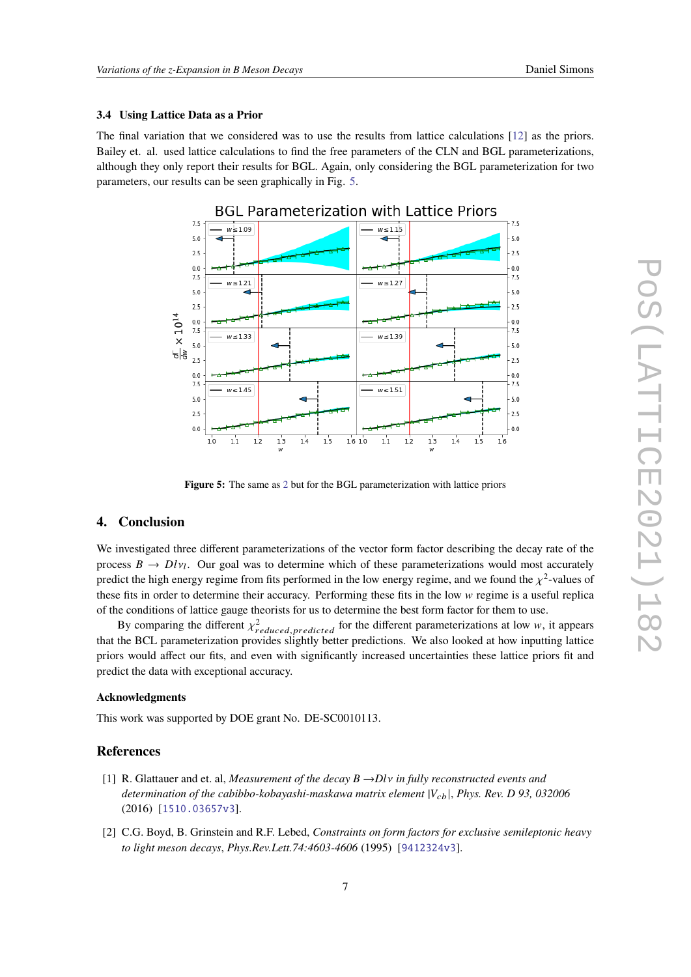## **3.4 Using Lattice Data as a Prior**

The final variation that we considered was to use the results from lattice calculations [\[12\]](#page-7-9) as the priors. Bailey et. al. used lattice calculations to find the free parameters of the CLN and BGL parameterizations, although they only report their results for BGL. Again, only considering the BGL parameterization for two parameters, our results can be seen graphically in Fig. [5.](#page-6-2)

<span id="page-6-2"></span>

**Figure 5:** The same as [2](#page-4-1) but for the BGL parameterization with lattice priors

# **4. Conclusion**

We investigated three different parameterizations of the vector form factor describing the decay rate of the process  $B \to D l v_l$ . Our goal was to determine which of these parameterizations would most accurately predict the high energy regime from fits performed in the low energy regime, and we found the  $\chi^2$ -values of these fits in order to determine their accuracy. Performing these fits in the low  $w$  regime is a useful replica of the conditions of lattice gauge theorists for us to determine the best form factor for them to use.

By comparing the different  $\chi^2_{reduced. predicted}$  for the different parameterizations at low w, it appears that the BCL parameterization provides slightly better predictions. We also looked at how inputting lattice priors would affect our fits, and even with significantly increased uncertainties these lattice priors fit and predict the data with exceptional accuracy.

#### **Acknowledgments**

This work was supported by DOE grant No. DE-SC0010113.

#### **References**

- <span id="page-6-0"></span>[1] R. Glattauer and et. al, *Measurement of the decay B* →*D*𝑙𝜈 *in fully reconstructed events and determination of the cabibbo-kobayashi-maskawa matrix element*  $|V_{ch}|$ , *Phys. Rev. D 93, 032006* (2016) [[1510.03657v3](https://arxiv.org/abs/1510.03657v3)].
- <span id="page-6-1"></span>[2] C.G. Boyd, B. Grinstein and R.F. Lebed, *Constraints on form factors for exclusive semileptonic heavy to light meson decays*, *Phys.Rev.Lett.74:4603-4606* (1995) [[9412324v3](https://arxiv.org/abs/9412324v3)].